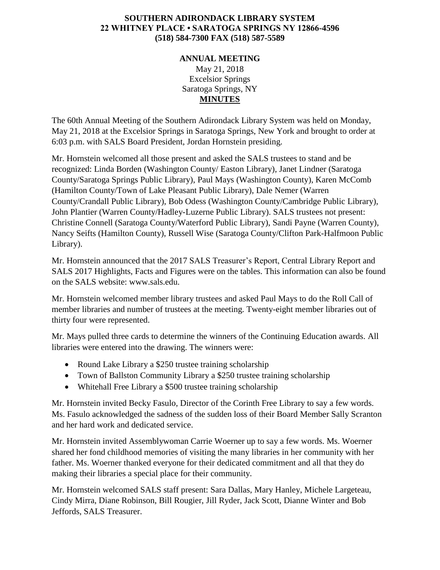## **SOUTHERN ADIRONDACK LIBRARY SYSTEM 22 WHITNEY PLACE • SARATOGA SPRINGS NY 12866-4596 (518) 584-7300 FAX (518) 587-5589**

## **ANNUAL MEETING** May 21, 2018 Excelsior Springs Saratoga Springs, NY **MINUTES**

The 60th Annual Meeting of the Southern Adirondack Library System was held on Monday, May 21, 2018 at the Excelsior Springs in Saratoga Springs, New York and brought to order at 6:03 p.m. with SALS Board President, Jordan Hornstein presiding.

Mr. Hornstein welcomed all those present and asked the SALS trustees to stand and be recognized: Linda Borden (Washington County/ Easton Library), Janet Lindner (Saratoga County/Saratoga Springs Public Library), Paul Mays (Washington County), Karen McComb (Hamilton County/Town of Lake Pleasant Public Library), Dale Nemer (Warren County/Crandall Public Library), Bob Odess (Washington County/Cambridge Public Library), John Plantier (Warren County/Hadley-Luzerne Public Library). SALS trustees not present: Christine Connell (Saratoga County/Waterford Public Library), Sandi Payne (Warren County), Nancy Seifts (Hamilton County), Russell Wise (Saratoga County/Clifton Park-Halfmoon Public Library).

Mr. Hornstein announced that the 2017 SALS Treasurer's Report, Central Library Report and SALS 2017 Highlights, Facts and Figures were on the tables. This information can also be found on the SALS website: www.sals.edu.

Mr. Hornstein welcomed member library trustees and asked Paul Mays to do the Roll Call of member libraries and number of trustees at the meeting. Twenty-eight member libraries out of thirty four were represented.

Mr. Mays pulled three cards to determine the winners of the Continuing Education awards. All libraries were entered into the drawing. The winners were:

- Round Lake Library a \$250 trustee training scholarship
- Town of Ballston Community Library a \$250 trustee training scholarship
- Whitehall Free Library a \$500 trustee training scholarship

Mr. Hornstein invited Becky Fasulo, Director of the Corinth Free Library to say a few words. Ms. Fasulo acknowledged the sadness of the sudden loss of their Board Member Sally Scranton and her hard work and dedicated service.

Mr. Hornstein invited Assemblywoman Carrie Woerner up to say a few words. Ms. Woerner shared her fond childhood memories of visiting the many libraries in her community with her father. Ms. Woerner thanked everyone for their dedicated commitment and all that they do making their libraries a special place for their community.

Mr. Hornstein welcomed SALS staff present: Sara Dallas, Mary Hanley, Michele Largeteau, Cindy Mirra, Diane Robinson, Bill Rougier, Jill Ryder, Jack Scott, Dianne Winter and Bob Jeffords, SALS Treasurer.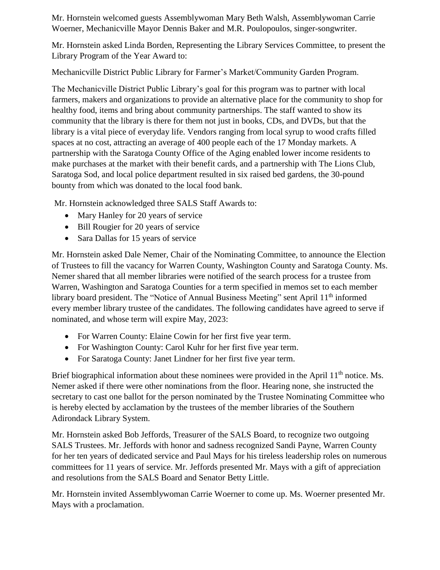Mr. Hornstein welcomed guests Assemblywoman Mary Beth Walsh, Assemblywoman Carrie Woerner, Mechanicville Mayor Dennis Baker and M.R. Poulopoulos, singer-songwriter.

Mr. Hornstein asked Linda Borden, Representing the Library Services Committee, to present the Library Program of the Year Award to:

Mechanicville District Public Library for Farmer's Market/Community Garden Program.

The Mechanicville District Public Library's goal for this program was to partner with local farmers, makers and organizations to provide an alternative place for the community to shop for healthy food, items and bring about community partnerships. The staff wanted to show its community that the library is there for them not just in books, CDs, and DVDs, but that the library is a vital piece of everyday life. Vendors ranging from local syrup to wood crafts filled spaces at no cost, attracting an average of 400 people each of the 17 Monday markets. A partnership with the Saratoga County Office of the Aging enabled lower income residents to make purchases at the market with their benefit cards, and a partnership with The Lions Club, Saratoga Sod, and local police department resulted in six raised bed gardens, the 30-pound bounty from which was donated to the local food bank.

Mr. Hornstein acknowledged three SALS Staff Awards to:

- Mary Hanley for 20 years of service
- Bill Rougier for 20 years of service
- Sara Dallas for 15 years of service

Mr. Hornstein asked Dale Nemer, Chair of the Nominating Committee, to announce the Election of Trustees to fill the vacancy for Warren County, Washington County and Saratoga County. Ms. Nemer shared that all member libraries were notified of the search process for a trustee from Warren, Washington and Saratoga Counties for a term specified in memos set to each member library board president. The "Notice of Annual Business Meeting" sent April 11<sup>th</sup> informed every member library trustee of the candidates. The following candidates have agreed to serve if nominated, and whose term will expire May, 2023:

- For Warren County: Elaine Cowin for her first five year term.
- For Washington County: Carol Kuhr for her first five year term.
- For Saratoga County: Janet Lindner for her first five year term.

Brief biographical information about these nominees were provided in the April  $11<sup>th</sup>$  notice. Ms. Nemer asked if there were other nominations from the floor. Hearing none, she instructed the secretary to cast one ballot for the person nominated by the Trustee Nominating Committee who is hereby elected by acclamation by the trustees of the member libraries of the Southern Adirondack Library System.

Mr. Hornstein asked Bob Jeffords, Treasurer of the SALS Board, to recognize two outgoing SALS Trustees. Mr. Jeffords with honor and sadness recognized Sandi Payne, Warren County for her ten years of dedicated service and Paul Mays for his tireless leadership roles on numerous committees for 11 years of service. Mr. Jeffords presented Mr. Mays with a gift of appreciation and resolutions from the SALS Board and Senator Betty Little.

Mr. Hornstein invited Assemblywoman Carrie Woerner to come up. Ms. Woerner presented Mr. Mays with a proclamation.